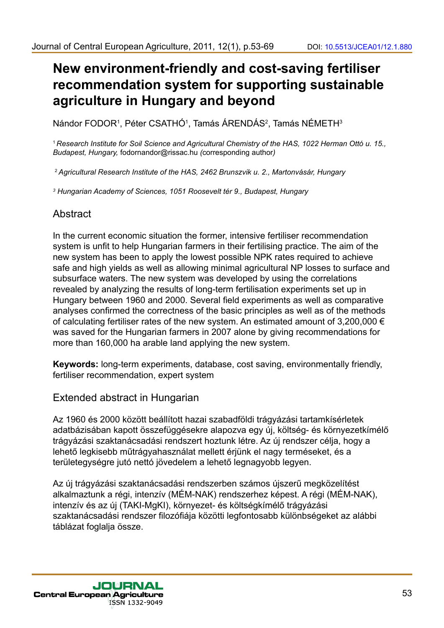# **New environment-friendly and cost-saving fertiliser recommendation system for supporting sustainable agriculture in Hungary and beyond**

Nándor FODOR<sup>1</sup>, Péter CSATHO<sup>1</sup>, Tamás ÁRENDÁS<sup>2</sup>, Tamás NÉMETH<sup>3</sup>

<sup>1</sup>*Research Institute for Soil Science and Agricultural Chemistry of the HAS, 1022 Herman Ottó u. 15., Budapest, Hungary,* fodornandor@rissac.hu *(*corresponding author*)*

<sup>2</sup>*Agricultural Research Institute of the HAS, 2462 Brunszvik u. 2., Martonvásár, Hungary* 

*3 Hungarian Academy of Sciences, 1051 Roosevelt tér 9., Budapest, Hungary*

# Abstract

In the current economic situation the former, intensive fertiliser recommendation system is unfit to help Hungarian farmers in their fertilising practice. The aim of the new system has been to apply the lowest possible NPK rates required to achieve safe and high yields as well as allowing minimal agricultural NP losses to surface and subsurface waters. The new system was developed by using the correlations revealed by analyzing the results of long-term fertilisation experiments set up in Hungary between 1960 and 2000. Several field experiments as well as comparative analyses confirmed the correctness of the basic principles as well as of the methods of calculating fertiliser rates of the new system. An estimated amount of 3,200,000  $\epsilon$ was saved for the Hungarian farmers in 2007 alone by giving recommendations for more than 160,000 ha arable land applying the new system.

**Keywords:** long-term experiments, database, cost saving, environmentally friendly, fertiliser recommendation, expert system

# Extended abstract in Hungarian

Az 1960 és 2000 között beállított hazai szabadföldi trágyázási tartamkísérletek adatbázisában kapott összefüggésekre alapozva egy új, költség- és környezetkímélő trágyázási szaktanácsadási rendszert hoztunk létre. Az új rendszer célja, hogy a lehető legkisebb műtrágyahasználat mellett érjünk el nagy terméseket, és a területegységre jutó nettó jövedelem a lehető legnagyobb legyen.

Az új trágyázási szaktanácsadási rendszerben számos újszerű megközelítést alkalmaztunk a régi, intenzív (MÉM-NAK) rendszerhez képest. A régi (MÉM-NAK), intenzív és az új (TAKI-MgKI), környezet- és költségkímélő trágyázási szaktanácsadási rendszer filozófiája közötti legfontosabb különbségeket az alábbi táblázat foglalja össze.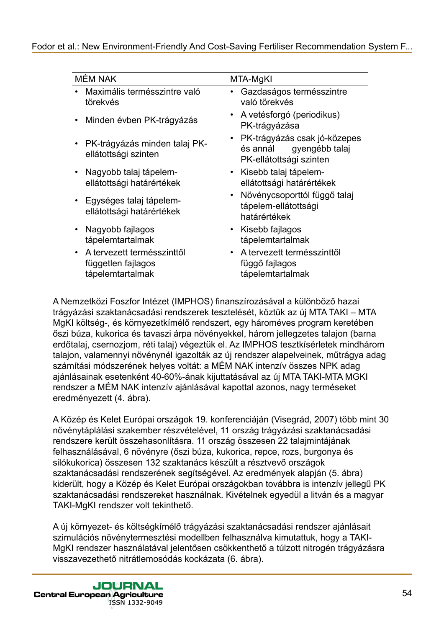| <b>MÉM NAK</b> |                                                                      | MTA-MgKI |                                                                                       |
|----------------|----------------------------------------------------------------------|----------|---------------------------------------------------------------------------------------|
|                | Maximális termésszintre való<br>törekvés                             |          | Gazdaságos termésszintre<br>való törekvés                                             |
|                | Minden évben PK-trágyázás                                            |          | A vetésforgó (periodikus)<br>PK-trágyázása                                            |
|                | PK-trágyázás minden talaj PK-<br>ellátottsági szinten                |          | PK-trágyázás csak jó-közepes<br>gyengébb talaj<br>és annál<br>PK-ellátottsági szinten |
|                | Nagyobb talaj tápelem-<br>ellátottsági határértékek                  |          | Kisebb talaj tápelem-<br>ellátottsági határértékek                                    |
|                | Egységes talaj tápelem-<br>ellátottsági határértékek                 |          | Növénycsoporttól függő talaj<br>tápelem-ellátottsági<br>határértékek                  |
|                | Nagyobb fajlagos<br>tápelemtartalmak                                 |          | Kisebb fajlagos<br>tápelemtartalmak                                                   |
|                | A tervezett termésszinttől<br>független fajlagos<br>tápelemtartalmak |          | A tervezett termésszinttől<br>függő fajlagos<br>tápelemtartalmak                      |

A Nemzetközi Foszfor Intézet (IMPHOS) finanszírozásával a különböző hazai trágyázási szaktanácsadási rendszerek tesztelését, köztük az új MTA TAKI – MTA MgKI költség-, és környezetkímélő rendszert, egy hároméves program keretében őszi búza, kukorica és tavaszi árpa növényekkel, három jellegzetes talajon (barna erdőtalaj, csernozjom, réti talaj) végeztük el. Az IMPHOS tesztkísérletek mindhárom talajon, valamennyi növénynél igazolták az új rendszer alapelveinek, műtrágya adag számítási módszerének helyes voltát: a MÉM NAK intenzív összes NPK adag ajánlásainak esetenként 40-60%-ának kijuttatásával az új MTA TAKI-MTA MGKI rendszer a MÉM NAK intenzív ajánlásával kapottal azonos, nagy terméseket eredményezett (4. ábra).

A Közép és Kelet Európai országok 19. konferenciáján (Visegrád, 2007) több mint 30 növénytáplálási szakember részvételével, 11 ország trágyázási szaktanácsadási rendszere került összehasonlításra. 11 ország összesen 22 talajmintájának felhasználásával, 6 növényre (őszi búza, kukorica, repce, rozs, burgonya és silókukorica) összesen 132 szaktanács készült a résztvevő országok szaktanácsadási rendszerének segítségével. Az eredmények alapján (5. ábra) kiderült, hogy a Közép és Kelet Európai országokban továbbra is intenzív jellegű PK szaktanácsadási rendszereket használnak. Kivételnek egyedül a litván és a magyar TAKI-MgKI rendszer volt tekinthető.

A új környezet- és költségkímélő trágyázási szaktanácsadási rendszer ajánlásait szimulációs növénytermesztési modellben felhasználva kimutattuk, hogy a TAKI-MgKI rendszer használatával jelentősen csökkenthető a túlzott nitrogén trágyázásra visszavezethető nitrátlemosódás kockázata (6. ábra).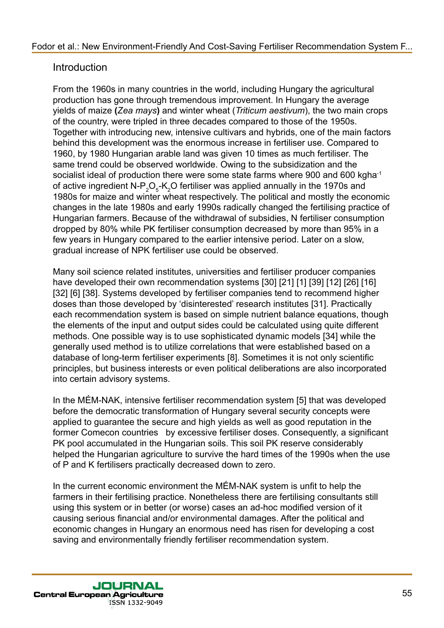# **Introduction**

From the 1960s in many countries in the world, including Hungary the agricultural production has gone through tremendous improvement. In Hungary the average yields of maize **(***Zea mays***)** and winter wheat (*Triticum aestivum*), the two main crops of the country, were tripled in three decades compared to those of the 1950s. Together with introducing new, intensive cultivars and hybrids, one of the main factors behind this development was the enormous increase in fertiliser use. Compared to 1960, by 1980 Hungarian arable land was given 10 times as much fertiliser. The same trend could be observed worldwide. Owing to the subsidization and the socialist ideal of production there were some state farms where 900 and 600 kgha-1 of active ingredient N-P<sub>2</sub>O<sub>5</sub>-K<sub>2</sub>O fertiliser was applied annually in the 1970s and 1980s for maize and winter wheat respectively. The political and mostly the economic changes in the late 1980s and early 1990s radically changed the fertilising practice of Hungarian farmers. Because of the withdrawal of subsidies, N fertiliser consumption dropped by 80% while PK fertiliser consumption decreased by more than 95% in a few years in Hungary compared to the earlier intensive period. Later on a slow, gradual increase of NPK fertiliser use could be observed.

Many soil science related institutes, universities and fertiliser producer companies have developed their own recommendation systems [30] [21] [1] [39] [12] [26] [16] [32] [6] [38]. Systems developed by fertiliser companies tend to recommend higher doses than those developed by 'disinterested' research institutes [31]. Practically each recommendation system is based on simple nutrient balance equations, though the elements of the input and output sides could be calculated using quite different methods. One possible way is to use sophisticated dynamic models [34] while the generally used method is to utilize correlations that were established based on a database of long-term fertiliser experiments [8]. Sometimes it is not only scientific principles, but business interests or even political deliberations are also incorporated into certain advisory systems.

In the MÉM-NAK, intensive fertiliser recommendation system [5] that was developed before the democratic transformation of Hungary several security concepts were applied to guarantee the secure and high yields as well as good reputation in the former Comecon countries by excessive fertiliser doses. Consequently, a significant PK pool accumulated in the Hungarian soils. This soil PK reserve considerably helped the Hungarian agriculture to survive the hard times of the 1990s when the use of P and K fertilisers practically decreased down to zero.

In the current economic environment the MÉM-NAK system is unfit to help the farmers in their fertilising practice. Nonetheless there are fertilising consultants still using this system or in better (or worse) cases an ad-hoc modified version of it causing serious financial and/or environmental damages. After the political and economic changes in Hungary an enormous need has risen for developing a cost saving and environmentally friendly fertiliser recommendation system.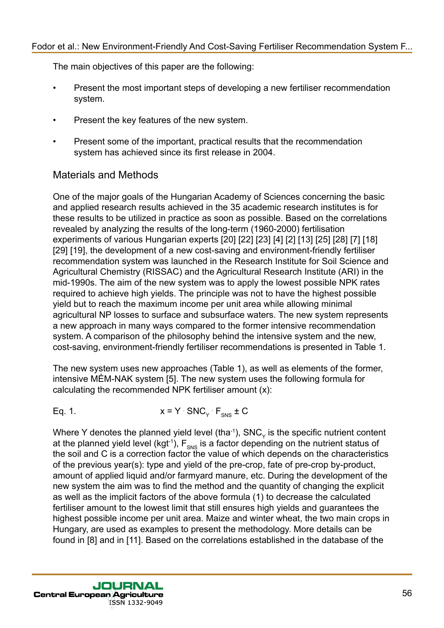The main objectives of this paper are the following:

- Present the most important steps of developing a new fertiliser recommendation system.
- Present the key features of the new system.
- Present some of the important, practical results that the recommendation system has achieved since its first release in 2004.

# Materials and Methods

One of the major goals of the Hungarian Academy of Sciences concerning the basic and applied research results achieved in the 35 academic research institutes is for these results to be utilized in practice as soon as possible. Based on the correlations revealed by analyzing the results of the long-term (1960-2000) fertilisation experiments of various Hungarian experts [20] [22] [23] [4] [2] [13] [25] [28] [7] [18] [29] [19], the development of a new cost-saving and environment-friendly fertiliser recommendation system was launched in the Research Institute for Soil Science and Agricultural Chemistry (RISSAC) and the Agricultural Research Institute (ARI) in the mid-1990s. The aim of the new system was to apply the lowest possible NPK rates required to achieve high yields. The principle was not to have the highest possible yield but to reach the maximum income per unit area while allowing minimal agricultural NP losses to surface and subsurface waters. The new system represents a new approach in many ways compared to the former intensive recommendation system. A comparison of the philosophy behind the intensive system and the new, cost-saving, environment-friendly fertiliser recommendations is presented in Table 1.

The new system uses new approaches (Table 1), as well as elements of the former, intensive MÉM-NAK system [5]. The new system uses the following formula for calculating the recommended NPK fertiliser amount (x):

Eq. 1.  $x = Y \text{ SNC}_Y F_{\text{SNS}} \pm C$ 

Where Y denotes the planned yield level (tha $-1$ ), SNC<sub>y</sub> is the specific nutrient content at the planned yield level (kgt<sup>-1</sup>),  $F_{\text{SMS}}$  is a factor depending on the nutrient status of the soil and C is a correction factor the value of which depends on the characteristics of the previous year(s): type and yield of the pre-crop, fate of pre-crop by-product, amount of applied liquid and/or farmyard manure, etc. During the development of the new system the aim was to find the method and the quantity of changing the explicit as well as the implicit factors of the above formula (1) to decrease the calculated fertiliser amount to the lowest limit that still ensures high yields and guarantees the highest possible income per unit area. Maize and winter wheat, the two main crops in Hungary, are used as examples to present the methodology. More details can be found in [8] and in [11]. Based on the correlations established in the database of the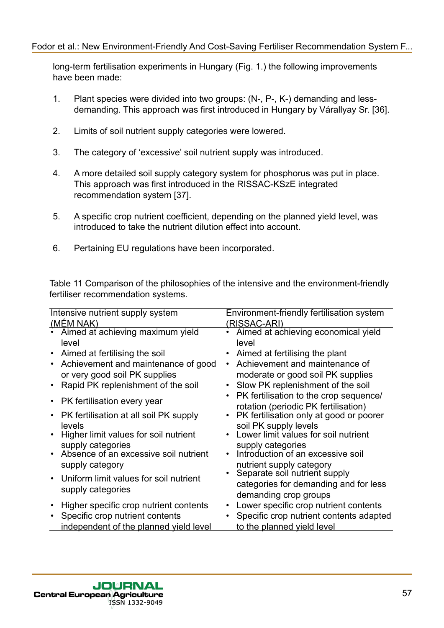long-term fertilisation experiments in Hungary (Fig. 1.) the following improvements have been made:

- 1. Plant species were divided into two groups: (N-, P-, K-) demanding and lessdemanding. This approach was first introduced in Hungary by Várallyay Sr. [36].
- 2. Limits of soil nutrient supply categories were lowered.
- 3. The category of 'excessive' soil nutrient supply was introduced.
- 4. A more detailed soil supply category system for phosphorus was put in place. This approach was first introduced in the RISSAC-KSzE integrated recommendation system [37].
- 5. A specific crop nutrient coefficient, depending on the planned yield level, was introduced to take the nutrient dilution effect into account.
- 6. Pertaining EU regulations have been incorporated.

Table 11 Comparison of the philosophies of the intensive and the environment-friendly fertiliser recommendation systems.

| Intensive nutrient supply system           | Environment-friendly fertilisation system                     |  |  |
|--------------------------------------------|---------------------------------------------------------------|--|--|
| (MÉM NAK)                                  | (RISSAC-ARI)                                                  |  |  |
| Aimed at achieving maximum yield           | Aimed at achieving economical yield                           |  |  |
| level                                      | level                                                         |  |  |
| Aimed at fertilising the soil<br>$\bullet$ | Aimed at fertilising the plant                                |  |  |
| Achievement and maintenance of good        | Achievement and maintenance of                                |  |  |
| or very good soil PK supplies              | moderate or good soil PK supplies                             |  |  |
| Rapid PK replenishment of the soil         | Slow PK replenishment of the soil                             |  |  |
|                                            | PK fertilisation to the crop sequence/                        |  |  |
| PK fertilisation every year                | rotation (periodic PK fertilisation)                          |  |  |
| PK fertilisation at all soil PK supply     | PK fertilisation only at good or poorer                       |  |  |
| levels                                     | soil PK supply levels<br>Lower limit values for soil nutrient |  |  |
| Higher limit values for soil nutrient      |                                                               |  |  |
| supply categories                          | supply categories                                             |  |  |
| Absence of an excessive soil nutrient      | Introduction of an excessive soil                             |  |  |
| supply category                            | nutrient supply category                                      |  |  |
| Uniform limit values for soil nutrient     | Separate soil nutrient supply                                 |  |  |
| supply categories                          | categories for demanding and for less                         |  |  |
|                                            | demanding crop groups                                         |  |  |
| Higher specific crop nutrient contents     | Lower specific crop nutrient contents                         |  |  |
| Specific crop nutrient contents            | Specific crop nutrient contents adapted                       |  |  |
| independent of the planned yield level     | to the planned yield level                                    |  |  |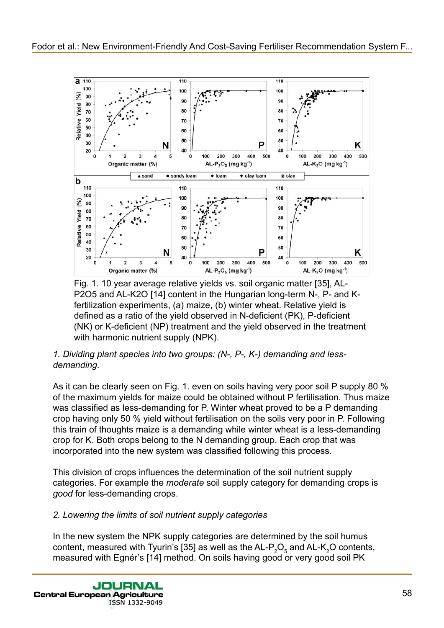

Fig. 1. 10 year average relative yields vs. soil organic matter [35], AL-P2O5 and AL-K2O [14] content in the Hungarian long-term N-, P- and Kfertilization experiments, (a) maize, (b) winter wheat. Relative yield is defined as a ratio of the yield observed in N-deficient (PK), P-deficient (NK) or K-deficient (NP) treatment and the yield observed in the treatment with harmonic nutrient supply (NPK).

## *1. Dividing plant species into two groups: (N-, P-, K-) demanding and lessdemanding.*

As it can be clearly seen on Fig. 1. even on soils having very poor soil P supply 80 % of the maximum yields for maize could be obtained without P fertilisation. Thus maize was classified as less-demanding for P. Winter wheat proved to be a P demanding crop having only 50 % yield without fertilisation on the soils very poor in P. Following this train of thoughts maize is a demanding while winter wheat is a less-demanding crop for K. Both crops belong to the N demanding group. Each crop that was incorporated into the new system was classified following this process.

This division of crops influences the determination of the soil nutrient supply categories. For example the *moderate* soil supply category for demanding crops is *good* for less-demanding crops.

# *2. Lowering the limits of soil nutrient supply categories*

In the new system the NPK supply categories are determined by the soil humus content, measured with Tyurin's [35] as well as the AL-P<sub>2</sub>O<sub>5</sub> and AL-K<sub>2</sub>O contents, measured with Egnér's [14] method. On soils having good or very good soil PK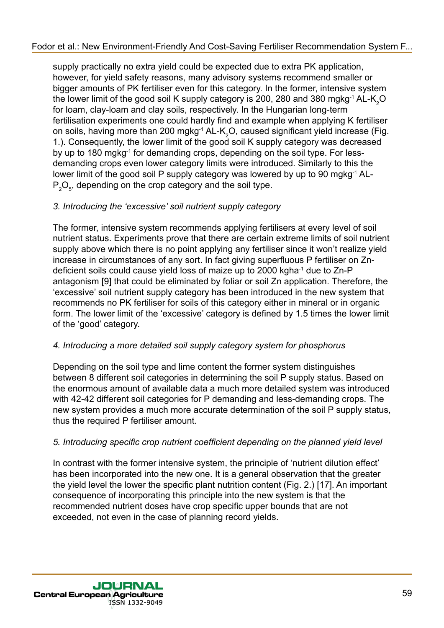supply practically no extra yield could be expected due to extra PK application, however, for yield safety reasons, many advisory systems recommend smaller or bigger amounts of PK fertiliser even for this category. In the former, intensive system the lower limit of the good soil K supply category is 200, 280 and 380 mgkg<sup>-1</sup> AL-K<sub>2</sub>O for loam, clay-loam and clay soils, respectively. In the Hungarian long-term fertilisation experiments one could hardly find and example when applying K fertiliser on soils, having more than 200 mgkg $\cdot$ 1 AL-K<sub>2</sub>O, caused significant yield increase (Fig. 1.). Consequently, the lower limit of the good soil K supply category was decreased by up to 180 mgkg-1 for demanding crops, depending on the soil type. For lessdemanding crops even lower category limits were introduced. Similarly to this the lower limit of the good soil P supply category was lowered by up to 90 mgkg-1 AL- $\mathsf{P}_\mathsf{2}\mathsf{O}_\mathsf{s}$ , depending on the crop category and the soil type.

## *3. Introducing the 'excessive' soil nutrient supply category*

The former, intensive system recommends applying fertilisers at every level of soil nutrient status. Experiments prove that there are certain extreme limits of soil nutrient supply above which there is no point applying any fertiliser since it won't realize yield increase in circumstances of any sort. In fact giving superfluous P fertiliser on Zndeficient soils could cause yield loss of maize up to 2000 kgha-1 due to Zn-P antagonism [9] that could be eliminated by foliar or soil Zn application. Therefore, the 'excessive' soil nutrient supply category has been introduced in the new system that recommends no PK fertiliser for soils of this category either in mineral or in organic form. The lower limit of the 'excessive' category is defined by 1.5 times the lower limit of the 'good' category.

## *4. Introducing a more detailed soil supply category system for phosphorus*

Depending on the soil type and lime content the former system distinguishes between 8 different soil categories in determining the soil P supply status. Based on the enormous amount of available data a much more detailed system was introduced with 42-42 different soil categories for P demanding and less-demanding crops. The new system provides a much more accurate determination of the soil P supply status, thus the required P fertiliser amount.

## *5. Introducing specific crop nutrient coefficient depending on the planned yield level*

In contrast with the former intensive system, the principle of 'nutrient dilution effect' has been incorporated into the new one. It is a general observation that the greater the yield level the lower the specific plant nutrition content (Fig. 2.) [17]. An important consequence of incorporating this principle into the new system is that the recommended nutrient doses have crop specific upper bounds that are not exceeded, not even in the case of planning record yields.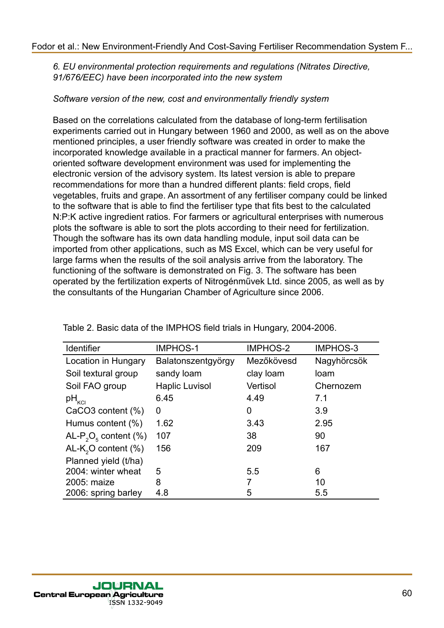*6. EU environmental protection requirements and regulations (Nitrates Directive, 91/676/EEC) have been incorporated into the new system*

#### *Software version of the new, cost and environmentally friendly system*

Based on the correlations calculated from the database of long-term fertilisation experiments carried out in Hungary between 1960 and 2000, as well as on the above mentioned principles, a user friendly software was created in order to make the incorporated knowledge available in a practical manner for farmers. An objectoriented software development environment was used for implementing the electronic version of the advisory system. Its latest version is able to prepare recommendations for more than a hundred different plants: field crops, field vegetables, fruits and grape. An assortment of any fertiliser company could be linked to the software that is able to find the fertiliser type that fits best to the calculated N:P:K active ingredient ratios. For farmers or agricultural enterprises with numerous plots the software is able to sort the plots according to their need for fertilization. Though the software has its own data handling module, input soil data can be imported from other applications, such as MS Excel, which can be very useful for large farms when the results of the soil analysis arrive from the laboratory. The functioning of the software is demonstrated on Fig. 3. The software has been operated by the fertilization experts of Nitrogénművek Ltd. since 2005, as well as by the consultants of the Hungarian Chamber of Agriculture since 2006.

| Identifier                                   | <b>IMPHOS-1</b>       | <b>IMPHOS-2</b> | <b>IMPHOS-3</b> |
|----------------------------------------------|-----------------------|-----------------|-----------------|
| Location in Hungary                          | Balatonszentgyörgy    | Mezőkövesd      | Nagyhörcsök     |
| Soil textural group                          | sandy loam            | clay loam       | loam            |
| Soil FAO group                               | <b>Haplic Luvisol</b> | Vertisol        | Chernozem       |
| $pH_{\rm KCl}$                               | 6.45                  | 4.49            | 7.1             |
| CaCO3 content (%)                            | 0                     | 0               | 3.9             |
| Humus content (%)                            | 1.62                  | 3.43            | 2.95            |
| AL-P <sub>2</sub> O <sub>5</sub> content (%) | 107                   | 38              | 90              |
| $AL-K2O content (%)$                         | 156                   | 209             | 167             |
| Planned yield (t/ha)                         |                       |                 |                 |
| 2004: winter wheat                           | 5                     | 5.5             | 6               |
| 2005: maize                                  | 8                     | 7               | 10              |
| 2006: spring barley                          | 4.8                   | 5               | 5.5             |

Table 2. Basic data of the IMPHOS field trials in Hungary, 2004-2006.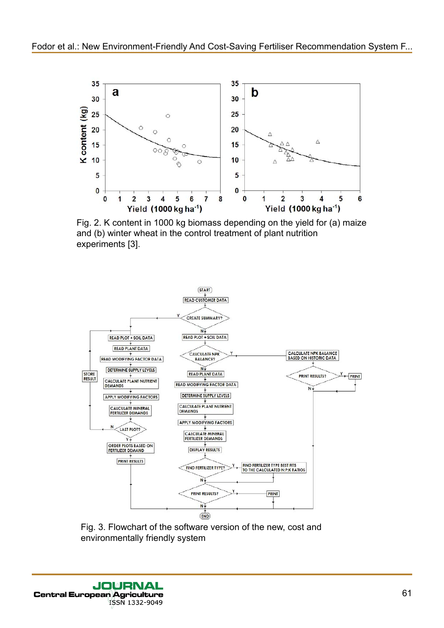

Fig. 2. K content in 1000 kg biomass depending on the yield for (a) maize and (b) winter wheat in the control treatment of plant nutrition experiments [3].



Fig. 3. Flowchart of the software version of the new, cost and environmentally friendly system

**JOURNAL Central European Agriculture** ISSN 1332-9049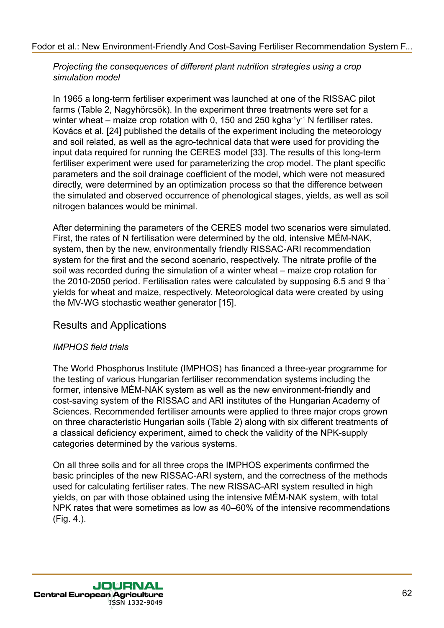*Projecting the consequences of different plant nutrition strategies using a crop simulation model*

In 1965 a long-term fertiliser experiment was launched at one of the RISSAC pilot farms (Table 2, Nagyhörcsök). In the experiment three treatments were set for a winter wheat – maize crop rotation with 0, 150 and 250 kgha $\cdot$ <sup>1</sup> N fertiliser rates. Kovács et al. [24] published the details of the experiment including the meteorology and soil related, as well as the agro-technical data that were used for providing the input data required for running the CERES model [33]. The results of this long-term fertiliser experiment were used for parameterizing the crop model. The plant specific parameters and the soil drainage coefficient of the model, which were not measured directly, were determined by an optimization process so that the difference between the simulated and observed occurrence of phenological stages, yields, as well as soil nitrogen balances would be minimal.

After determining the parameters of the CERES model two scenarios were simulated. First, the rates of N fertilisation were determined by the old, intensive MÉM-NAK, system, then by the new, environmentally friendly RISSAC-ARI recommendation system for the first and the second scenario, respectively. The nitrate profile of the soil was recorded during the simulation of a winter wheat – maize crop rotation for the 2010-2050 period. Fertilisation rates were calculated by supposing 6.5 and 9 tha-1 yields for wheat and maize, respectively. Meteorological data were created by using the MV-WG stochastic weather generator [15].

## Results and Applications

#### *IMPHOS field trials*

The World Phosphorus Institute (IMPHOS) has financed a three-year programme for the testing of various Hungarian fertiliser recommendation systems including the former, intensive MÉM-NAK system as well as the new environment-friendly and cost-saving system of the RISSAC and ARI institutes of the Hungarian Academy of Sciences. Recommended fertiliser amounts were applied to three major crops grown on three characteristic Hungarian soils (Table 2) along with six different treatments of a classical deficiency experiment, aimed to check the validity of the NPK-supply categories determined by the various systems.

On all three soils and for all three crops the IMPHOS experiments confirmed the basic principles of the new RISSAC-ARI system, and the correctness of the methods used for calculating fertiliser rates. The new RISSAC-ARI system resulted in high yields, on par with those obtained using the intensive MÉM-NAK system, with total NPK rates that were sometimes as low as 40–60% of the intensive recommendations (Fig. 4.).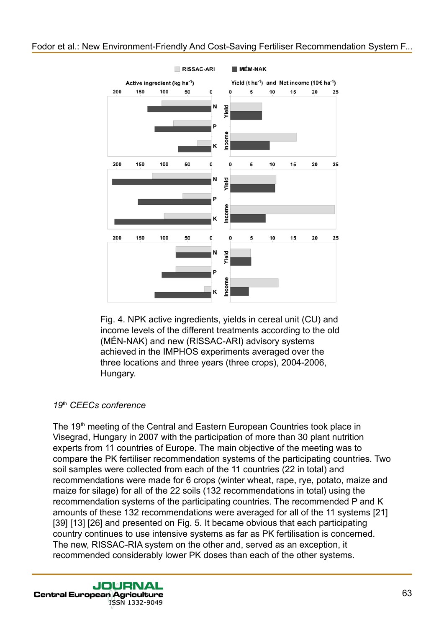

RISSAC-ARI

**MÉM-NAK** 

Fig. 4. NPK active ingredients, yields in cereal unit (CU) and income levels of the different treatments according to the old (MÉN-NAK) and new (RISSAC-ARI) advisory systems achieved in the IMPHOS experiments averaged over the three locations and three years (three crops), 2004-2006, Hungary.

#### *19*th *CEECs conference*

The 19<sup>th</sup> meeting of the Central and Eastern European Countries took place in Visegrad, Hungary in 2007 with the participation of more than 30 plant nutrition experts from 11 countries of Europe. The main objective of the meeting was to compare the PK fertiliser recommendation systems of the participating countries. Two soil samples were collected from each of the 11 countries (22 in total) and recommendations were made for 6 crops (winter wheat, rape, rye, potato, maize and maize for silage) for all of the 22 soils (132 recommendations in total) using the recommendation systems of the participating countries. The recommended P and K amounts of these 132 recommendations were averaged for all of the 11 systems [21] [39] [13] [26] and presented on Fig. 5. It became obvious that each participating country continues to use intensive systems as far as PK fertilisation is concerned. The new, RISSAC-RIA system on the other and, served as an exception, it recommended considerably lower PK doses than each of the other systems.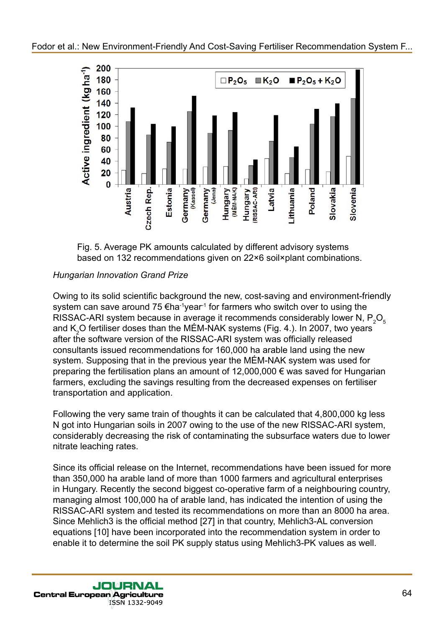



## *Hungarian Innovation Grand Prize*

Owing to its solid scientific background the new, cost-saving and environment-friendly system can save around 75  $\epsilon$ ha-1year<sup>-1</sup> for farmers who switch over to using the RISSAC-ARI system because in average it recommends considerably lower N,  $\mathsf{P}_2\mathsf{O}_5$ and K<sub>2</sub>O fertiliser doses than the MEM-NAK systems (Fig. 4.). In 2007, two years after the software version of the RISSAC-ARI system was officially released consultants issued recommendations for 160,000 ha arable land using the new system. Supposing that in the previous year the MÉM-NAK system was used for preparing the fertilisation plans an amount of 12,000,000 € was saved for Hungarian farmers, excluding the savings resulting from the decreased expenses on fertiliser transportation and application.

Following the very same train of thoughts it can be calculated that 4,800,000 kg less N got into Hungarian soils in 2007 owing to the use of the new RISSAC-ARI system, considerably decreasing the risk of contaminating the subsurface waters due to lower nitrate leaching rates.

Since its official release on the Internet, recommendations have been issued for more than 350,000 ha arable land of more than 1000 farmers and agricultural enterprises in Hungary. Recently the second biggest co-operative farm of a neighbouring country, managing almost 100,000 ha of arable land, has indicated the intention of using the RISSAC-ARI system and tested its recommendations on more than an 8000 ha area. Since Mehlich3 is the official method [27] in that country, Mehlich3-AL conversion equations [10] have been incorporated into the recommendation system in order to enable it to determine the soil PK supply status using Mehlich3-PK values as well.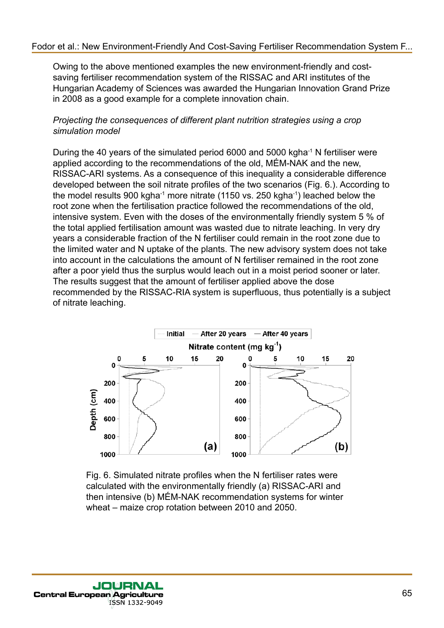Owing to the above mentioned examples the new environment-friendly and costsaving fertiliser recommendation system of the RISSAC and ARI institutes of the Hungarian Academy of Sciences was awarded the Hungarian Innovation Grand Prize in 2008 as a good example for a complete innovation chain.

*Projecting the consequences of different plant nutrition strategies using a crop simulation model*

During the 40 years of the simulated period 6000 and 5000 kgha-1 N fertiliser were applied according to the recommendations of the old, MÉM-NAK and the new, RISSAC-ARI systems. As a consequence of this inequality a considerable difference developed between the soil nitrate profiles of the two scenarios (Fig. 6.). According to the model results 900 kgha-1 more nitrate (1150 vs. 250 kgha-1) leached below the root zone when the fertilisation practice followed the recommendations of the old, intensive system. Even with the doses of the environmentally friendly system 5 % of the total applied fertilisation amount was wasted due to nitrate leaching. In very dry years a considerable fraction of the N fertiliser could remain in the root zone due to the limited water and N uptake of the plants. The new advisory system does not take into account in the calculations the amount of N fertiliser remained in the root zone after a poor yield thus the surplus would leach out in a moist period sooner or later. The results suggest that the amount of fertiliser applied above the dose recommended by the RISSAC-RIA system is superfluous, thus potentially is a subject of nitrate leaching.



Fig. 6. Simulated nitrate profiles when the N fertiliser rates were calculated with the environmentally friendly (a) RISSAC-ARI and then intensive (b) MÉM-NAK recommendation systems for winter wheat – maize crop rotation between 2010 and 2050.

JOVER **Central European Agriculture** ISSN 1332-9049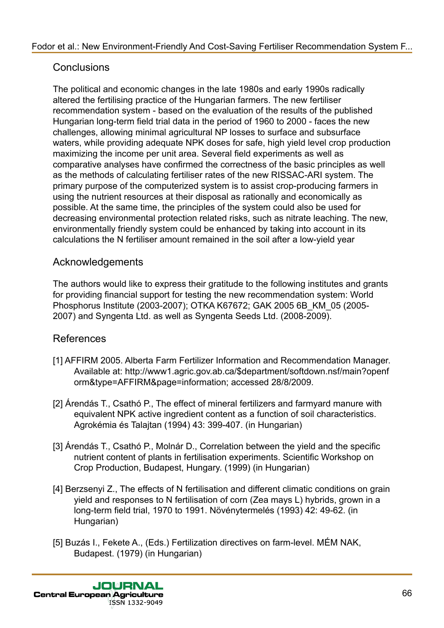# **Conclusions**

The political and economic changes in the late 1980s and early 1990s radically altered the fertilising practice of the Hungarian farmers. The new fertiliser recommendation system - based on the evaluation of the results of the published Hungarian long-term field trial data in the period of 1960 to 2000 - faces the new challenges, allowing minimal agricultural NP losses to surface and subsurface waters, while providing adequate NPK doses for safe, high yield level crop production maximizing the income per unit area. Several field experiments as well as comparative analyses have confirmed the correctness of the basic principles as well as the methods of calculating fertiliser rates of the new RISSAC-ARI system. The primary purpose of the computerized system is to assist crop-producing farmers in using the nutrient resources at their disposal as rationally and economically as possible. At the same time, the principles of the system could also be used for decreasing environmental protection related risks, such as nitrate leaching. The new, environmentally friendly system could be enhanced by taking into account in its calculations the N fertiliser amount remained in the soil after a low-yield year

# Acknowledgements

The authors would like to express their gratitude to the following institutes and grants for providing financial support for testing the new recommendation system: World Phosphorus Institute (2003-2007); OTKA K67672; GAK 2005 6B\_KM\_05 (2005- 2007) and Syngenta Ltd. as well as Syngenta Seeds Ltd. (2008-2009).

# References

- [1] AFFIRM 2005. Alberta Farm Fertilizer Information and Recommendation Manager. Available at: http://www1.agric.gov.ab.ca/\$department/softdown.nsf/main?openf orm&type=AFFIRM&page=information; accessed 28/8/2009.
- [2] Árendás T., Csathó P., The effect of mineral fertilizers and farmyard manure with equivalent NPK active ingredient content as a function of soil characteristics. Agrokémia és Talajtan (1994) 43: 399-407. (in Hungarian)
- [3] Árendás T., Csathó P., Molnár D., Correlation between the yield and the specific nutrient content of plants in fertilisation experiments. Scientific Workshop on Crop Production, Budapest, Hungary. (1999) (in Hungarian)
- [4] Berzsenyi Z., The effects of N fertilisation and different climatic conditions on grain yield and responses to N fertilisation of corn (Zea mays L) hybrids, grown in a long-term field trial, 1970 to 1991. Növénytermelés (1993) 42: 49-62. (in Hungarian)
- [5] Buzás I., Fekete A., (Eds.) Fertilization directives on farm-level. MÉM NAK, Budapest. (1979) (in Hungarian)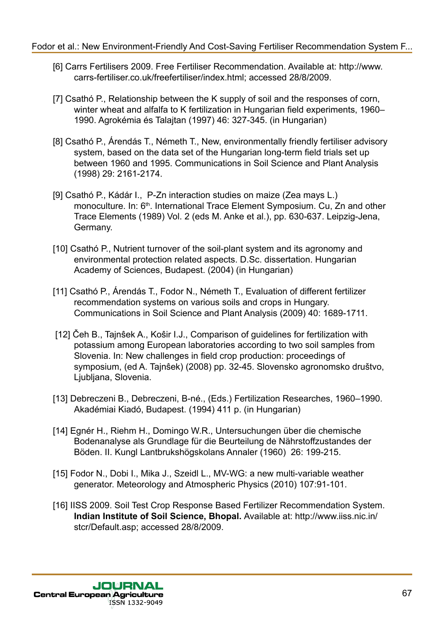- [6] Carrs Fertilisers 2009. Free Fertiliser Recommendation. Available at: http://www. carrs-fertiliser.co.uk/freefertiliser/index.html; accessed 28/8/2009.
- [7] Csathó P., Relationship between the K supply of soil and the responses of corn, winter wheat and alfalfa to K fertilization in Hungarian field experiments, 1960– 1990. Agrokémia és Talajtan (1997) 46: 327-345. (in Hungarian)
- [8] Csathó P., Árendás T., Németh T., New, environmentally friendly fertiliser advisory system, based on the data set of the Hungarian long-term field trials set up between 1960 and 1995. Communications in Soil Science and Plant Analysis (1998) 29: 2161-2174.
- [9] Csathó P., Kádár I., P-Zn interaction studies on maize (Zea mays L.) monoculture. In: 6<sup>th</sup>. International Trace Element Symposium. Cu, Zn and other Trace Elements (1989) Vol. 2 (eds M. Anke et al.), pp. 630-637. Leipzig-Jena, Germany.
- [10] Csathó P., Nutrient turnover of the soil-plant system and its agronomy and environmental protection related aspects. D.Sc. dissertation. Hungarian Academy of Sciences, Budapest. (2004) (in Hungarian)
- [11] Csathó P., Árendás T., Fodor N., Németh T., Evaluation of different fertilizer recommendation systems on various soils and crops in Hungary. Communications in Soil Science and Plant Analysis (2009) 40: 1689-1711.
- [12] Čeh B., Tajnŝek A., Koŝir I.J., Comparison of guidelines for fertilization with potassium among European laboratories according to two soil samples from Slovenia. In: New challenges in field crop production: proceedings of symposium, (ed A. Tajnŝek) (2008) pp. 32-45. Slovensko agronomsko društvo, Ljubljana, Slovenia.
- [13] Debreczeni B., Debreczeni, B-né., (Eds.) Fertilization Researches, 1960–1990. Akadémiai Kiadó, Budapest. (1994) 411 p. (in Hungarian)
- [14] Egnér H., Riehm H., Domingo W.R., Untersuchungen über die chemische Bodenanalyse als Grundlage für die Beurteilung de Nährstoffzustandes der Böden. II. Kungl Lantbrukshögskolans Annaler (1960) 26: 199-215.
- [15] Fodor N., Dobi I., Mika J., Szeidl L., MV-WG: a new multi-variable weather generator. Meteorology and Atmospheric Physics (2010) 107:91-101.
- [16] IISS 2009. Soil Test Crop Response Based Fertilizer Recommendation System. **Indian Institute of Soil Science, Bhopal.** Available at: http://www.iiss.nic.in/ stcr/Default.asp; accessed 28/8/2009.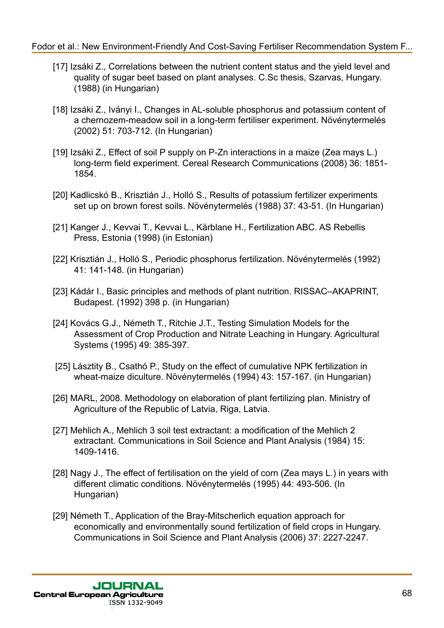- [17] Izsáki Z., Correlations between the nutrient content status and the yield level and quality of sugar beet based on plant analyses. C.Sc thesis, Szarvas, Hungary. (1988) (in Hungarian)
- [18] Izsáki Z., Iványi I., Changes in AL-soluble phosphorus and potassium content of a chernozem-meadow soil in a long-term fertiliser experiment. Növénytermelés (2002) 51: 703-712. (In Hungarian)
- [19] Izsáki Z., Effect of soil P supply on P-Zn interactions in a maize (Zea mays L.) long-term field experiment. Cereal Research Communications (2008) 36: 1851- 1854.
- [20] Kadlicskó B., Krisztián J., Holló S., Results of potassium fertilizer experiments set up on brown forest soils. Növénytermelés (1988) 37: 43-51. (In Hungarian)
- [21] Kanger J., Kevvai T., Kevvai L., Kärblane H., Fertilization ABC. AS Rebellis Press, Estonia (1998) (in Estonian)
- [22] Krisztián J., Holló S., Periodic phosphorus fertilization. Növénytermelés (1992) 41: 141-148. (in Hungarian)
- [23] Kádár I., Basic principles and methods of plant nutrition. RISSAC–AKAPRINT, Budapest. (1992) 398 p. (in Hungarian)
- [24] Kovács G.J., Németh T., Ritchie J.T., Testing Simulation Models for the Assessment of Crop Production and Nitrate Leaching in Hungary. Agricultural Systems (1995) 49: 385-397.
- [25] Lásztity B., Csathó P., Study on the effect of cumulative NPK fertilization in wheat-maize diculture. Növénytermelés (1994) 43: 157-167. (in Hungarian)
- [26] MARL, 2008. Methodology on elaboration of plant fertilizing plan. Ministry of Agriculture of the Republic of Latvia, Riga, Latvia.
- [27] Mehlich A., Mehlich 3 soil test extractant: a modification of the Mehlich 2 extractant. Communications in Soil Science and Plant Analysis (1984) 15: 1409-1416.
- [28] Nagy J., The effect of fertilisation on the yield of corn (Zea mays L.) in years with different climatic conditions. Növénytermelés (1995) 44: 493-506. (In Hungarian)
- [29] Németh T., Application of the Bray-Mitscherlich equation approach for economically and environmentally sound fertilization of field crops in Hungary. Communications in Soil Science and Plant Analysis (2006) 37: 2227-2247.